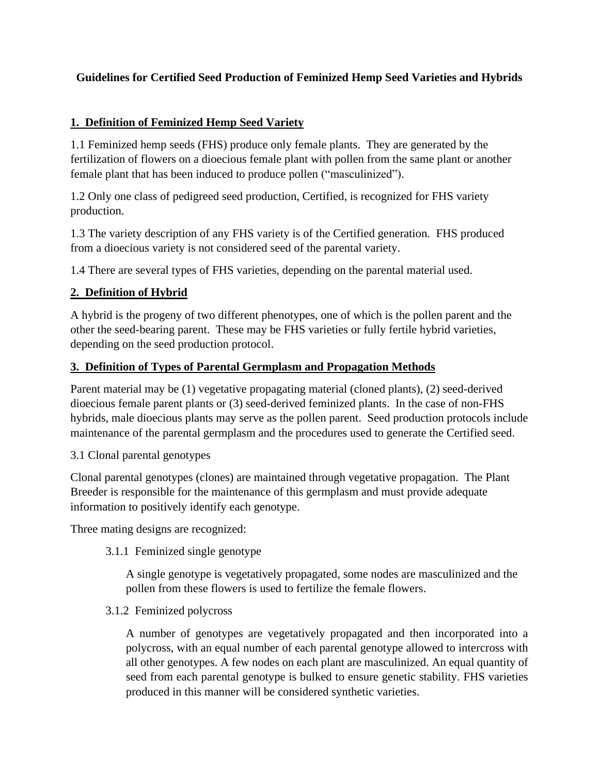# **Guidelines for Certified Seed Production of Feminized Hemp Seed Varieties and Hybrids**

## **1. Definition of Feminized Hemp Seed Variety**

1.1 Feminized hemp seeds (FHS) produce only female plants. They are generated by the fertilization of flowers on a dioecious female plant with pollen from the same plant or another female plant that has been induced to produce pollen ("masculinized").

1.2 Only one class of pedigreed seed production, Certified, is recognized for FHS variety production.

1.3 The variety description of any FHS variety is of the Certified generation. FHS produced from a dioecious variety is not considered seed of the parental variety.

1.4 There are several types of FHS varieties, depending on the parental material used.

# **2. Definition of Hybrid**

A hybrid is the progeny of two different phenotypes, one of which is the pollen parent and the other the seed-bearing parent. These may be FHS varieties or fully fertile hybrid varieties, depending on the seed production protocol.

## **3. Definition of Types of Parental Germplasm and Propagation Methods**

Parent material may be (1) vegetative propagating material (cloned plants), (2) seed-derived dioecious female parent plants or (3) seed-derived feminized plants. In the case of non-FHS hybrids, male dioecious plants may serve as the pollen parent. Seed production protocols include maintenance of the parental germplasm and the procedures used to generate the Certified seed.

3.1 Clonal parental genotypes

Clonal parental genotypes (clones) are maintained through vegetative propagation. The Plant Breeder is responsible for the maintenance of this germplasm and must provide adequate information to positively identify each genotype.

Three mating designs are recognized:

3.1.1 Feminized single genotype

A single genotype is vegetatively propagated, some nodes are masculinized and the pollen from these flowers is used to fertilize the female flowers.

3.1.2 Feminized polycross

A number of genotypes are vegetatively propagated and then incorporated into a polycross, with an equal number of each parental genotype allowed to intercross with all other genotypes. A few nodes on each plant are masculinized. An equal quantity of seed from each parental genotype is bulked to ensure genetic stability. FHS varieties produced in this manner will be considered synthetic varieties.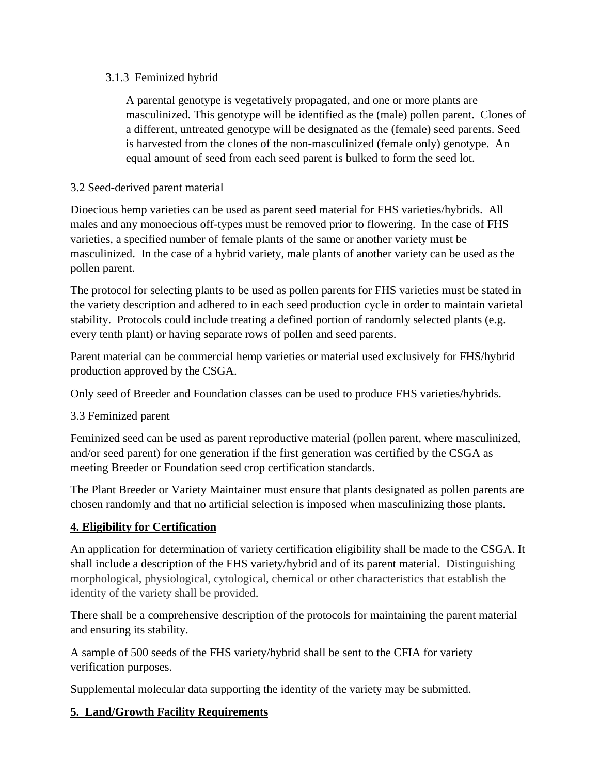## 3.1.3 Feminized hybrid

A parental genotype is vegetatively propagated, and one or more plants are masculinized. This genotype will be identified as the (male) pollen parent. Clones of a different, untreated genotype will be designated as the (female) seed parents. Seed is harvested from the clones of the non-masculinized (female only) genotype. An equal amount of seed from each seed parent is bulked to form the seed lot.

## 3.2 Seed-derived parent material

Dioecious hemp varieties can be used as parent seed material for FHS varieties/hybrids. All males and any monoecious off-types must be removed prior to flowering. In the case of FHS varieties, a specified number of female plants of the same or another variety must be masculinized. In the case of a hybrid variety, male plants of another variety can be used as the pollen parent.

The protocol for selecting plants to be used as pollen parents for FHS varieties must be stated in the variety description and adhered to in each seed production cycle in order to maintain varietal stability. Protocols could include treating a defined portion of randomly selected plants (e.g. every tenth plant) or having separate rows of pollen and seed parents.

Parent material can be commercial hemp varieties or material used exclusively for FHS/hybrid production approved by the CSGA.

Only seed of Breeder and Foundation classes can be used to produce FHS varieties/hybrids.

# 3.3 Feminized parent

Feminized seed can be used as parent reproductive material (pollen parent, where masculinized, and/or seed parent) for one generation if the first generation was certified by the CSGA as meeting Breeder or Foundation seed crop certification standards.

The Plant Breeder or Variety Maintainer must ensure that plants designated as pollen parents are chosen randomly and that no artificial selection is imposed when masculinizing those plants.

# **4. Eligibility for Certification**

An application for determination of variety certification eligibility shall be made to the CSGA. It shall include a description of the FHS variety/hybrid and of its parent material. Distinguishing morphological, physiological, cytological, chemical or other characteristics that establish the identity of the variety shall be provided.

There shall be a comprehensive description of the protocols for maintaining the parent material and ensuring its stability.

A sample of 500 seeds of the FHS variety/hybrid shall be sent to the CFIA for variety verification purposes.

Supplemental molecular data supporting the identity of the variety may be submitted.

# **5. Land/Growth Facility Requirements**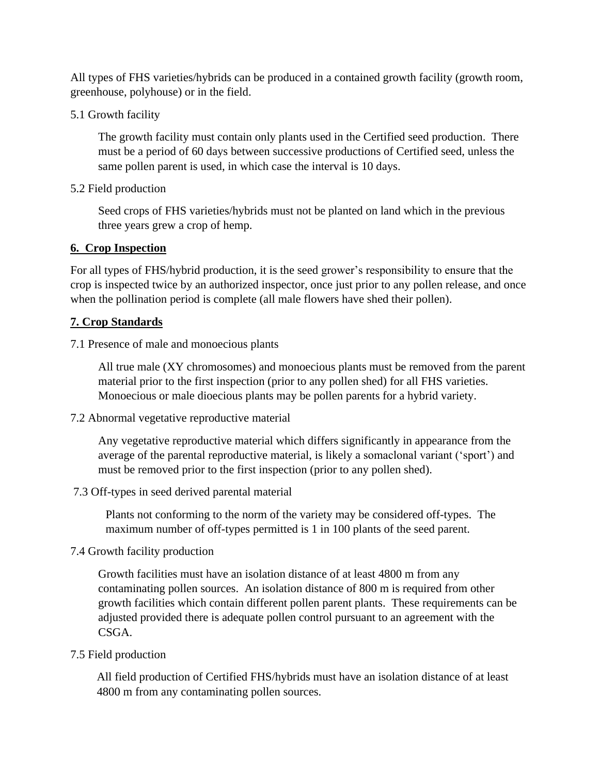All types of FHS varieties/hybrids can be produced in a contained growth facility (growth room, greenhouse, polyhouse) or in the field.

5.1 Growth facility

The growth facility must contain only plants used in the Certified seed production. There must be a period of 60 days between successive productions of Certified seed, unless the same pollen parent is used, in which case the interval is 10 days.

5.2 Field production

Seed crops of FHS varieties/hybrids must not be planted on land which in the previous three years grew a crop of hemp.

### **6. Crop Inspection**

For all types of FHS/hybrid production, it is the seed grower's responsibility to ensure that the crop is inspected twice by an authorized inspector, once just prior to any pollen release, and once when the pollination period is complete (all male flowers have shed their pollen).

### **7. Crop Standards**

7.1 Presence of male and monoecious plants

All true male (XY chromosomes) and monoecious plants must be removed from the parent material prior to the first inspection (prior to any pollen shed) for all FHS varieties. Monoecious or male dioecious plants may be pollen parents for a hybrid variety.

7.2 Abnormal vegetative reproductive material

Any vegetative reproductive material which differs significantly in appearance from the average of the parental reproductive material, is likely a somaclonal variant ('sport') and must be removed prior to the first inspection (prior to any pollen shed).

7.3 Off-types in seed derived parental material

Plants not conforming to the norm of the variety may be considered off-types. The maximum number of off-types permitted is 1 in 100 plants of the seed parent.

7.4 Growth facility production

Growth facilities must have an isolation distance of at least 4800 m from any contaminating pollen sources. An isolation distance of 800 m is required from other growth facilities which contain different pollen parent plants. These requirements can be adjusted provided there is adequate pollen control pursuant to an agreement with the CSGA.

### 7.5 Field production

All field production of Certified FHS/hybrids must have an isolation distance of at least 4800 m from any contaminating pollen sources.